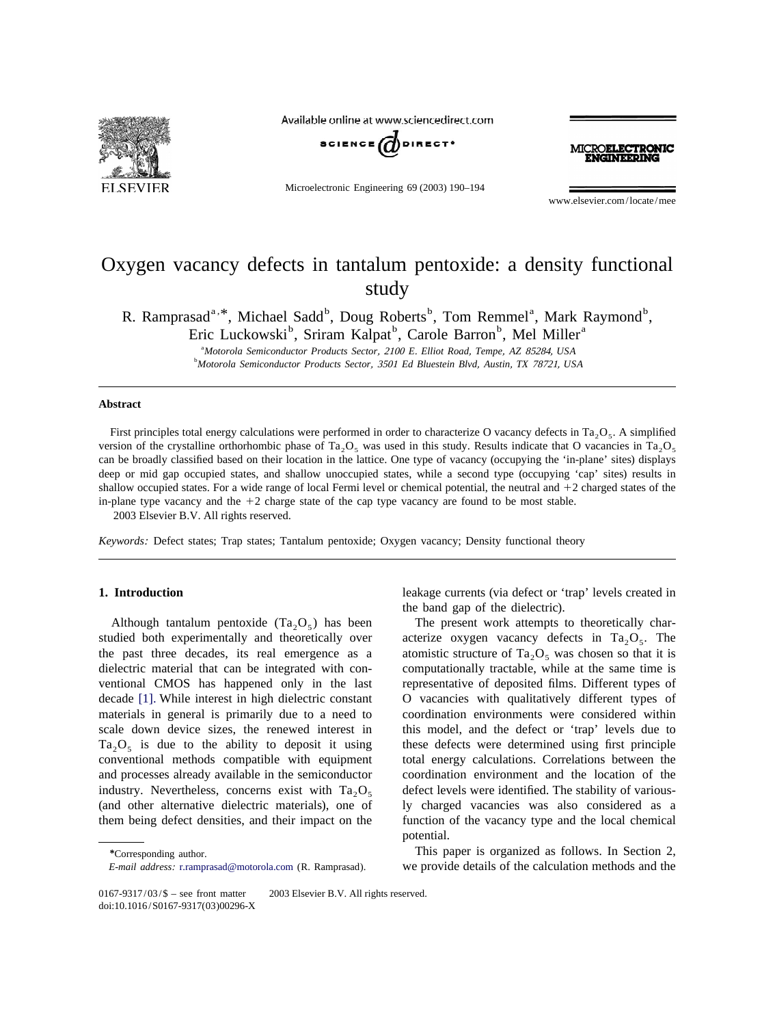

Available online at www.sciencedirect.com



Microelectronic Engineering 69 (2003) 190–194

MICROELECTRONIC **CINTED ING** 

www.elsevier.com/locate/mee

# Oxygen vacancy defects in tantalum pentoxide: a density functional study

R. Ramprasad<sup>a, \*</sup>, Michael Sadd<sup>b</sup>, Doug Roberts<sup>b</sup>, Tom Remmel<sup>a</sup>, Mark Raymond<sup>b</sup>,

Eric Luckowski<sup>b</sup>, Sriram Kalpat<sup>b</sup>, Carole Barron<sup>b</sup>, Mel Miller<sup>a</sup>

a *Motorola Semiconductor Products Sector*, <sup>2100</sup> *E*. *Elliot Road*, *Tempe*, *AZ* 85284, *USA* b *Motorola Semiconductor Products Sector*, <sup>3501</sup> *Ed Bluestein Blvd*, *Austin*, *TX* 78721, *USA*

### **Abstract**

First principles total energy calculations were performed in order to characterize O vacancy defects in Ta<sub>2</sub>O<sub>5</sub>. A simplified version of the crystalline orthorhombic phase of Ta<sub>2</sub>O<sub>5</sub> was used in this study. Results indicate that O vacancies in Ta<sub>2</sub>O<sub>5</sub> can be broadly classified based on their location in the lattice. One type of vacancy (occupying the 'in-plane' sites) displays deep or mid gap occupied states, and shallow unoccupied states, while a second type (occupying 'cap' sites) results in shallow occupied states. For a wide range of local Fermi level or chemical potential, the neutral and  $+2$  charged states of the in-plane type vacancy and the  $+2$  charge state of the cap type vacancy are found to be most stable. 2003 Elsevier B.V. All rights reserved.

*Keywords*: Defect states; Trap states; Tantalum pentoxide; Oxygen vacancy; Density functional theory

Although tantalum pentoxide  $(Ta_2O_5)$  has been The present work attempts to theoretically charstudied both experimentally and theoretically over acterize oxygen vacancy defects in  $Ta_2O_5$ . The the past three decades, its real emergence as a atomistic structure of  $T_{a_2}O_5$  was chosen so that it is dielectric material that can be integrated with con-<br>computationally tractable, while at the same time is dielectric material that can be integrated with conventional CMOS has happened only in the last representative of deposited films. Different types of decade [\[1\].](#page-4-0) While interest in high dielectric constant O vacancies with qualitatively different types of materials in general is primarily due to a need to coordination environments were considered within scale down device sizes, the renewed interest in this model, and the defect or 'trap' levels due to  $Ta_2O_5$  is due to the ability to deposit it using these defects were determined using first principle conventional methods compatible with equipment total energy calculations. Correlations between the conventional methods compatible with equipment and processes already available in the semiconductor coordination environment and the location of the industry. Nevertheless, concerns exist with  $Ta_2O_5$  defect levels were identified. The stability of various-<br>(and other alternative dielectric materials), one of ly charged vacancies was also considered as a them being defect densities, and their impact on the function of the vacancy type and the local chemical

**1. Introduction** leakage currents (via defect or 'trap' levels created in the band gap of the dielectric).

> ly charged vacancies was also considered as a potential.

*\**Corresponding author. This paper is organized as follows. In Section 2, *E*-*mail address*: [r.ramprasad@motorola.com](mailto:r.ramprasad@motorola.com) (R. Ramprasad). we provide details of the calculation methods and the

<sup>0167-9317/03/\$ –</sup> see front matter  $\circ$  2003 Elsevier B.V. All rights reserved. doi:10.1016/S0167-9317(03)00296-X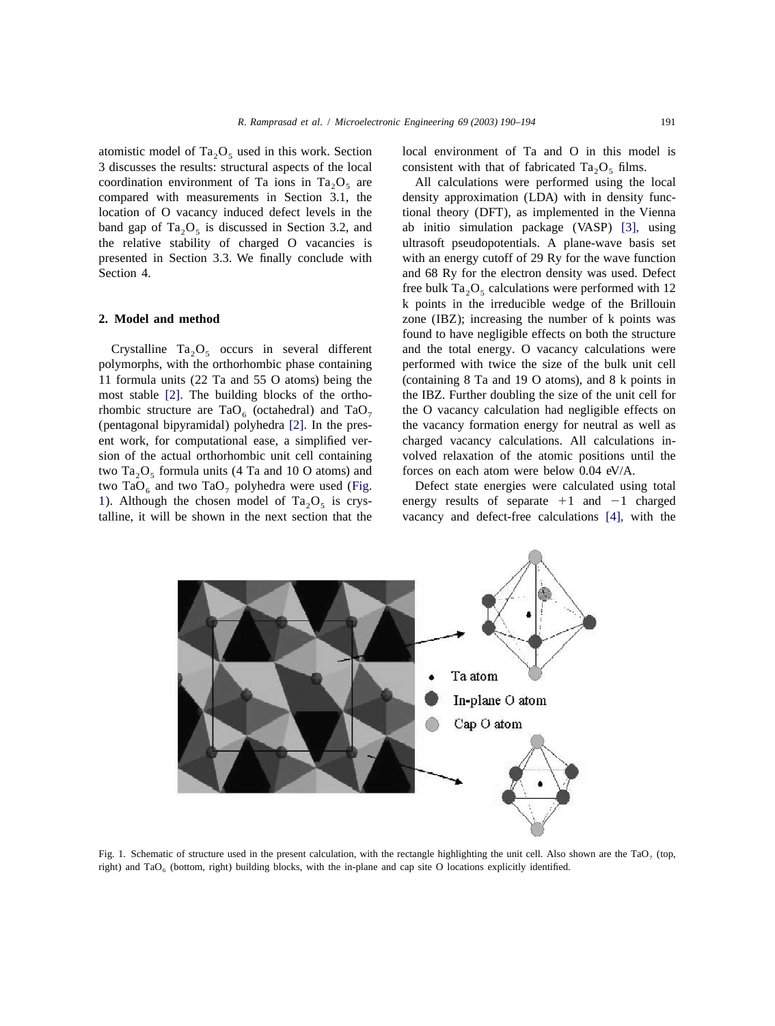<span id="page-1-0"></span>atomistic model of  $Ta_2O_5$  used in this work. Section local environment of Ta and O in this model is 3 discusses the results: structural aspects of the local consistent with that of fabricated  $Ta_2O_5$  films. 3 discusses the results: structural aspects of the local compared with measurements in Section 3.1, the

polymorphs, with the orthorhombic phase containing two Ta<sub>2</sub>O<sub>5</sub> formula units (4 Ta and 10 O atoms) and forces on each atom were below 0.04 eV/A.<br>two TaO<sub>6</sub> and two TaO<sub>7</sub> polyhedra were used (Fig. Defect state energies were calculated using total two TaO<sub>6</sub> and two TaO<sub>7</sub> polyhedra were used (Fig. Defect state energies were calculated using total 1). Although the chosen model of Ta<sub>3</sub>O<sub>5</sub> is crys- energy results of separate +1 and -1 charged 1). Although the chosen model of  $Ta_2O_5$  is crys-<br>talline, it will be shown in the next section that the

coordination environment of Ta ions in  $Ta_2O_5$  are All calculations were performed using the local compared with measurements in Section 3.1, the density approximation (LDA) with in density funclocation of O vacancy induced defect levels in the tional theory (DFT), as implemented in the Vienna band gap of  $Ta_2O_5$  is discussed in Section 3.2, and ab initio simulation package (VASP) [\[3\],](#page-4-0) using the relative stability of charged O vacancies is ultrasoft pseudopotentials. A plane-wave basis set ultrasoft pseudopotentials. A plane-wave basis set presented in Section 3.3. We finally conclude with with an energy cutoff of 29 Ry for the wave function Section 4. **and 68 Ry for the electron density was used.** Defect free bulk Ta<sub>2</sub>O<sub>5</sub> calculations were performed with 12 k points in the irreducible wedge of the Brillouin **2. Model and method 2. Model and method zone** (IBZ); increasing the number of k points was found to have negligible effects on both the structure Crystalline  $Ta_2O_5$  occurs in several different and the total energy. O vacancy calculations were 1 sum orphs, with the orthorhombic phase containing performed with twice the size of the bulk unit cell 11 formula units (22 Ta and 55 O atoms) being the (containing 8 Ta and 19 O atoms), and 8 k points in most stable [\[2\].](#page-4-0) The building blocks of the ortho- the IBZ. Further doubling the size of the unit cell for rhombic structure are  $TaO_6$  (octahedral) and  $TaO_7$  the O vacancy calculation had negligible effects on (pentagonal bipyramidal) polyhedra [2]. In the pres-<br>the vacancy formation energy for neutral as well as the vacancy formation energy for neutral as well as ent work, for computational ease, a simplified ver- charged vacancy calculations. All calculations insion of the actual orthorhombic unit cell containing volved relaxation of the atomic positions until the

vacancy and defect-free calculations [\[4\],](#page-4-0) with the



Fig. 1. Schematic of structure used in the present calculation, with the rectangle highlighting the unit cell. Also shown are the TaO<sub>7</sub> (top, right) and TaO<sub>6</sub> (bottom, right) building blocks, with the in-plane and cap site O locations explicitly identified.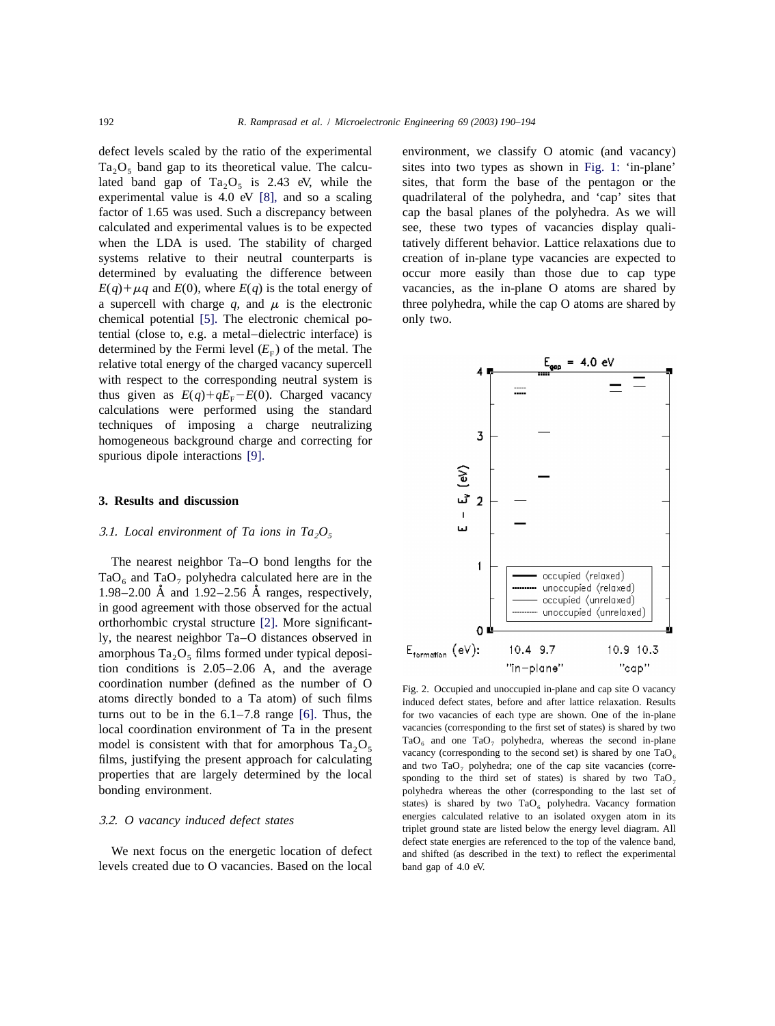<span id="page-2-0"></span>defect levels scaled by the ratio of the experimental environment, we classify O atomic (and vacancy)  $Ta_2O_5$  band gap to its theoretical value. The calcu- sites into two types as shown in [Fig. 1:](#page-1-0) 'in-plane' lated band gap of  $Ta_2O_5$  is 2.43 eV, while the sites, that form the base of the pentagon or the experimental value is 4.0 eV [8], and so a scaling quadrilateral of the polyhedra, and 'cap' sites that experimental value is 4.0 eV  $[8]$ , and so a scaling factor of 1.65 was used. Such a discrepancy between cap the basal planes of the polyhedra. As we will calculated and experimental values is to be expected see, these two types of vacancies display qualiwhen the LDA is used. The stability of charged tatively different behavior. Lattice relaxations due to systems relative to their neutral counterparts is creation of in-plane type vacancies are expected to determined by evaluating the difference between occur more easily than those due to cap type  $E(q) + \mu q$  and  $E(0)$ , where  $E(q)$  is the total energy of vacancies, as the in-plane O atoms are shared by a supercell with charge  $q$ , and  $\mu$  is the electronic three polyhedra, while the cap O atoms are shared by chemical potential [\[5\].](#page-4-0) The electronic chemical po- only two. tential (close to, e.g. a metal–dielectric interface) is determined by the Fermi level  $(E<sub>F</sub>)$  of the metal. The relative total energy of the charged vacancy supercell with respect to the corresponding neutral system is thus given as  $E(q) + qE<sub>F</sub> - E(0)$ . Charged vacancy calculations were performed using the standard techniques of imposing a charge neutralizing homogeneous background charge and correcting for spurious dipole interactions [\[9\].](#page-4-0)

### **3. Results and discussion**

## 3.1. Local environment of Ta ions in  $Ta_2O_5$

The nearest neighbor Ta–O bond lengths for the TaO<sub>6</sub> and TaO<sub>7</sub> polyhedra calculated here are in the 1.98–2.00  $\AA$  and 1.92–2.56  $\AA$  ranges, respectively, in good agreement with those observed for the actual orthorhombic crystal structure [\[2\].](#page-4-0) More significantly, the nearest neighbor Ta–O distances observed in amorphous  $Ta_2O_5$  films formed under typical deposition conditions is 2.05–2.06 A, and the average coordination number (defined as the number of  $\overline{O}$  Fig. 2. Occupied and unoccupied in-plane and cap site O vacancy properties that are largely determined by the local bonding environment.

levels created due to O vacancies. Based on the local band gap of 4.0 eV.



atoms directly bonded to a Ta atom) of such films induced defect states, before and after lattice relaxation. Results turns out to be in the  $6.1-7.8$  range  $[6]$ . Thus, the for two vacancies of each type are shown. One of the in-plane local coordination environment of Ta in the present vacancies (corresponding to the first set of states) is shared by two<br>model is consistent with that for amorphous Ta  $O_2$  and one TaO<sub>2</sub> polyhedra, whereas the second i model is consistent with that for amorphous  $Ta_2O_5$   $Ta_0$  and one TaO<sub>7</sub> polyhedra, whereas the second in-plane vacancy (corresponding to the second set) is shared by one TaO<sub>6</sub>  $Ta_0$ films, justifying the present approach for calculating and two  $TaO_7$  polyhedra; one of the cap site vacancies (corre-<br>properties that are largely determined by the local sponding to the third set of states) is shared by polyhedra whereas the other (corresponding to the last set of states) is shared by two  $TaO_6$  polyhedra. Vacancy formation 3.2. *O vacancy induced defect states* energies calculated relative to an isolated oxygen atom in its triplet ground state are listed below the energy level diagram. All defect state energies are referenced to the top of the valence band, We next focus on the energetic location of defect and shifted (as described in the text) to reflect the experimental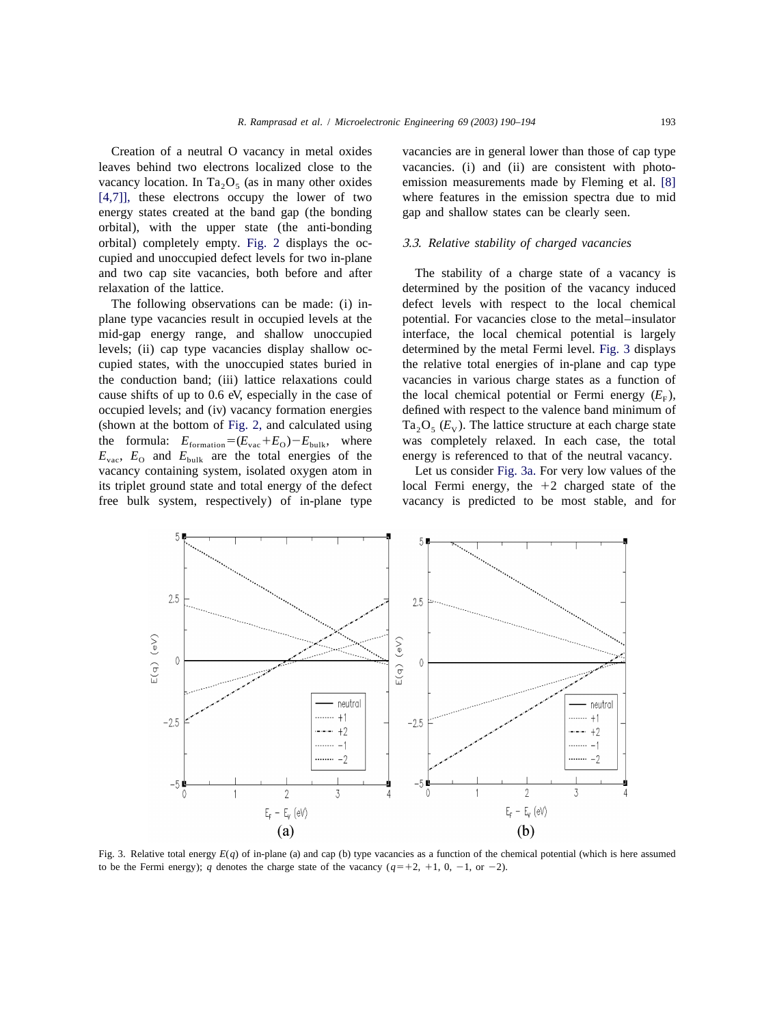<span id="page-3-0"></span>Creation of a neutral O vacancy in metal oxides vacancies are in general lower than those of cap type leaves behind two electrons localized close to the vacancies. (i) and (ii) are consistent with photo-vacancy location. In Ta<sub>2</sub>O<sub>5</sub> (as in many other oxides emission measurements made by Fleming et al. [\[8\]](#page-4-0) [4.7], these electrons occupy the lower of two where features in the emission spectra due to mid  $[4,7]$ ], these electrons occupy the lower of two energy states created at the band gap (the bonding gap and shallow states can be clearly seen. orbital), with the upper state (the anti-bonding orbital) completely empty. [Fig. 2](#page-2-0) displays the oc- 3 .3. *Relative stability of charged vacancies* cupied and unoccupied defect levels for two in-plane and two cap site vacancies, both before and after The stability of a charge state of a vacancy is

plane type vacancies result in occupied levels at the potential. For vacancies close to the metal–insulator mid-gap energy range, and shallow unoccupied interface, the local chemical potential is largely levels; (ii) cap type vacancies display shallow oc- determined by the metal Fermi level. Fig. 3 displays cupied states, with the unoccupied states buried in the relative total energies of in-plane and cap type the conduction band; (iii) lattice relaxations could vacancies in various charge states as a function of cause shifts of up to 0.6 eV, especially in the case of the local chemical potential or Fermi energy  $(E_F)$ , occupied levels; and (iv) vacancy formation energies defined with respect to the valence band minimum of the formula:  $E_{\text{formation}} = (E_{\text{vac}} + E_{\text{O}}) - E_{\text{bulk}}$ , where was completely relaxed. In each case, the total  $E_{\text{vac}}$ ,  $E_{\text{O}}$  and  $E_{\text{bulk}}$  are the total energies of the energy is referenced to that of the neutral vacancy.  $E_{\text{vac}}$ ,  $E_{\text{o}}$  and  $E_{\text{bulk}}$  are the total energies of the vacancy containing system, isolated oxygen atom in Let us consider Fig. 3a. For very low values of the its triplet ground state and total energy of the defect local Fermi energy, the  $+2$  charged state of the free bulk system, respectively) of in-plane type vacancy is predicted to be most stable, and for

relaxation of the lattice. determined by the position of the vacancy induced The following observations can be made: (i) in- defect levels with respect to the local chemical defined with respect to the valence band minimum of (shown at the bottom of [Fig.](#page-2-0) [2,](#page-2-0) and calculated using  $Ta_2O_5(E_v)$ . The lattice structure at each charge state the formula:  $E_{\text{correction}} = (E_{\text{max}} + E_o) - E_{\text{bulk}}$ , where was completely relaxed. In each case, the total



Fig. 3. Relative total energy *E*(*q*) of in-plane (a) and cap (b) type vacancies as a function of the chemical potential (which is here assumed to be the Fermi energy); *q* denotes the charge state of the vacancy  $(q=+2, +1, 0, -1, \text{ or } -2)$ .